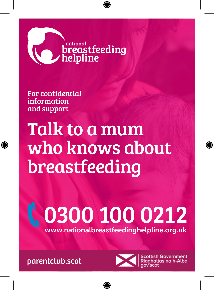

## \national<br>**breastfeeding**<br>helpline

For confidential information and support

## Talk to a mum who knows about breastfeeding

## C. 0300 100 0212 www.nationalbreastfeedinghelpline.org.uk

parentclub.scot



Scottish Government<br>Riaghaltas na h-Alba